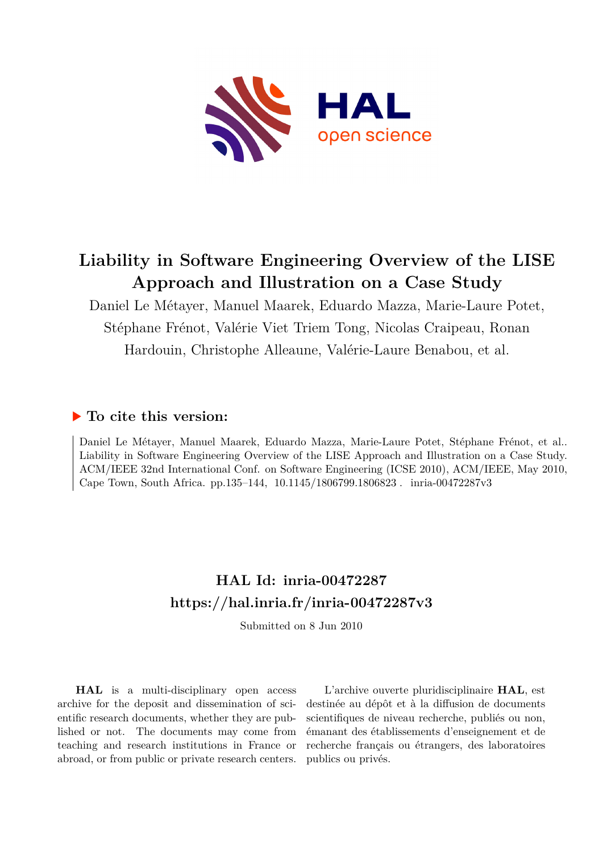

# **Liability in Software Engineering Overview of the LISE Approach and Illustration on a Case Study**

Daniel Le Métayer, Manuel Maarek, Eduardo Mazza, Marie-Laure Potet, Stéphane Frénot, Valérie Viet Triem Tong, Nicolas Craipeau, Ronan Hardouin, Christophe Alleaune, Valérie-Laure Benabou, et al.

## **To cite this version:**

Daniel Le Métayer, Manuel Maarek, Eduardo Mazza, Marie-Laure Potet, Stéphane Frénot, et al.. Liability in Software Engineering Overview of the LISE Approach and Illustration on a Case Study. ACM/IEEE 32nd International Conf. on Software Engineering (ICSE 2010), ACM/IEEE, May 2010, Cape Town, South Africa. pp.135-144,  $10.1145/1806799.1806823$ . inria-00472287v3

## **HAL Id: inria-00472287 <https://hal.inria.fr/inria-00472287v3>**

Submitted on 8 Jun 2010

**HAL** is a multi-disciplinary open access archive for the deposit and dissemination of scientific research documents, whether they are published or not. The documents may come from teaching and research institutions in France or abroad, or from public or private research centers.

L'archive ouverte pluridisciplinaire **HAL**, est destinée au dépôt et à la diffusion de documents scientifiques de niveau recherche, publiés ou non, émanant des établissements d'enseignement et de recherche français ou étrangers, des laboratoires publics ou privés.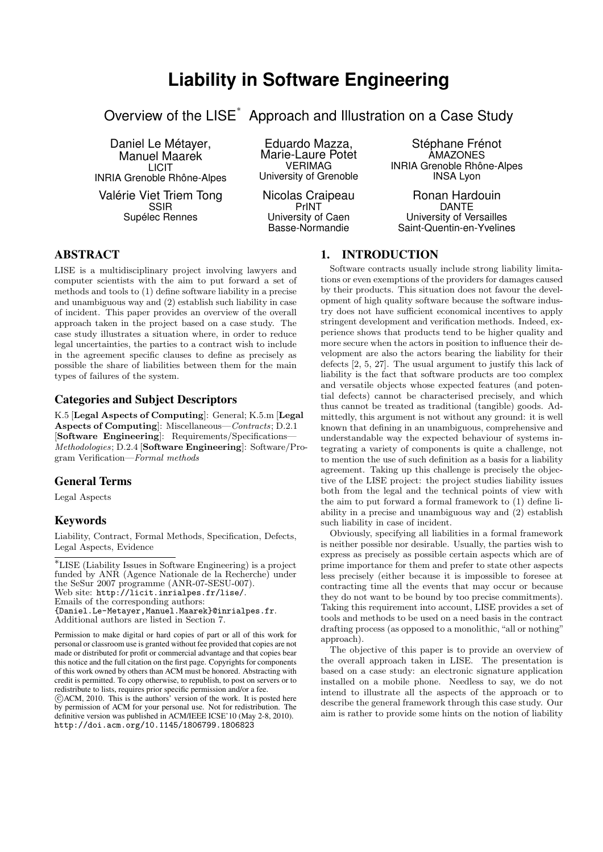## **Liability in Software Engineering**

Overview of the LISE<sup>\*</sup> Approach and Illustration on a Case Study

Daniel Le Métayer, Manuel Maarek LICIT INRIA Grenoble Rhône-Alpes

Valérie Viet Triem Tong SSIR Supélec Rennes

Eduardo Mazza, Marie-Laure Potet VERIMAG University of Grenoble

Nicolas Craipeau PrINT University of Caen Basse-Normandie

Stéphane Frénot **AMAZONES** INRIA Grenoble Rhône-Alpes INSA Lyon

Ronan Hardouin DANTE University of Versailles Saint-Quentin-en-Yvelines

## ABSTRACT

LISE is a multidisciplinary project involving lawyers and computer scientists with the aim to put forward a set of methods and tools to (1) define software liability in a precise and unambiguous way and (2) establish such liability in case of incident. This paper provides an overview of the overall approach taken in the project based on a case study. The case study illustrates a situation where, in order to reduce legal uncertainties, the parties to a contract wish to include in the agreement specific clauses to define as precisely as possible the share of liabilities between them for the main types of failures of the system.

## Categories and Subject Descriptors

K.5 [Legal Aspects of Computing]: General; K.5.m [Legal Aspects of Computing]: Miscellaneous—Contracts; D.2.1 [Software Engineering]: Requirements/Specifications— Methodologies; D.2.4 [Software Engineering]: Software/Program Verification—Formal methods

## General Terms

Legal Aspects

## Keywords

Liability, Contract, Formal Methods, Specification, Defects, Legal Aspects, Evidence

## 1. INTRODUCTION

Software contracts usually include strong liability limitations or even exemptions of the providers for damages caused by their products. This situation does not favour the development of high quality software because the software industry does not have sufficient economical incentives to apply stringent development and verification methods. Indeed, experience shows that products tend to be higher quality and more secure when the actors in position to influence their development are also the actors bearing the liability for their defects [2, 5, 27]. The usual argument to justify this lack of liability is the fact that software products are too complex and versatile objects whose expected features (and potential defects) cannot be characterised precisely, and which thus cannot be treated as traditional (tangible) goods. Admittedly, this argument is not without any ground: it is well known that defining in an unambiguous, comprehensive and understandable way the expected behaviour of systems integrating a variety of components is quite a challenge, not to mention the use of such definition as a basis for a liability agreement. Taking up this challenge is precisely the objective of the LISE project: the project studies liability issues both from the legal and the technical points of view with the aim to put forward a formal framework to (1) define liability in a precise and unambiguous way and (2) establish such liability in case of incident.

Obviously, specifying all liabilities in a formal framework is neither possible nor desirable. Usually, the parties wish to express as precisely as possible certain aspects which are of prime importance for them and prefer to state other aspects less precisely (either because it is impossible to foresee at contracting time all the events that may occur or because they do not want to be bound by too precise commitments). Taking this requirement into account, LISE provides a set of tools and methods to be used on a need basis in the contract drafting process (as opposed to a monolithic, "all or nothing" approach).

The objective of this paper is to provide an overview of the overall approach taken in LISE. The presentation is based on a case study: an electronic signature application installed on a mobile phone. Needless to say, we do not intend to illustrate all the aspects of the approach or to describe the general framework through this case study. Our aim is rather to provide some hints on the notion of liability

<sup>∗</sup>LISE (Liability Issues in Software Engineering) is a project funded by ANR (Agence Nationale de la Recherche) under the SeSur 2007 programme (ANR-07-SESU-007). Web site: http://licit.inrialpes.fr/lise/.

Emails of the corresponding authors:

<sup>{</sup>Daniel.Le-Metayer,Manuel.Maarek}@inrialpes.fr. Additional authors are listed in Section 7.

Permission to make digital or hard copies of part or all of this work for personal or classroom use is granted without fee provided that copies are not made or distributed for profit or commercial advantage and that copies bear this notice and the full citation on the first page. Copyrights for components of this work owned by others than ACM must be honored. Abstracting with credit is permitted. To copy otherwise, to republish, to post on servers or to redistribute to lists, requires prior specific permission and/or a fee.

c ACM, 2010. This is the authors' version of the work. It is posted here by permission of ACM for your personal use. Not for redistribution. The definitive version was published in ACM/IEEE ICSE'10 (May 2-8, 2010). http://doi.acm.org/10.1145/1806799.1806823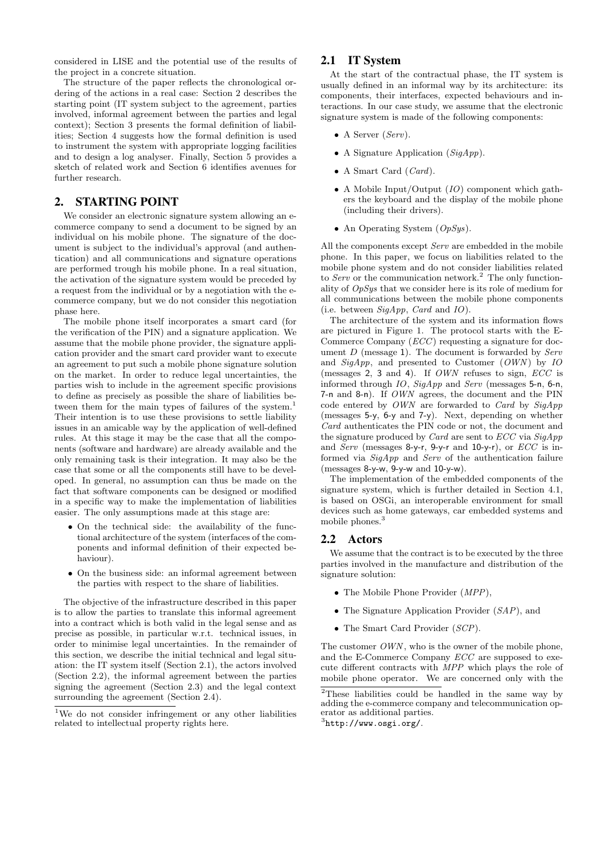considered in LISE and the potential use of the results of the project in a concrete situation.

The structure of the paper reflects the chronological ordering of the actions in a real case: Section 2 describes the starting point (IT system subject to the agreement, parties involved, informal agreement between the parties and legal context); Section 3 presents the formal definition of liabilities; Section 4 suggests how the formal definition is used to instrument the system with appropriate logging facilities and to design a log analyser. Finally, Section 5 provides a sketch of related work and Section 6 identifies avenues for further research.

### 2. STARTING POINT

We consider an electronic signature system allowing an ecommerce company to send a document to be signed by an individual on his mobile phone. The signature of the document is subject to the individual's approval (and authentication) and all communications and signature operations are performed trough his mobile phone. In a real situation, the activation of the signature system would be preceded by a request from the individual or by a negotiation with the ecommerce company, but we do not consider this negotiation phase here.

The mobile phone itself incorporates a smart card (for the verification of the PIN) and a signature application. We assume that the mobile phone provider, the signature application provider and the smart card provider want to execute an agreement to put such a mobile phone signature solution on the market. In order to reduce legal uncertainties, the parties wish to include in the agreement specific provisions to define as precisely as possible the share of liabilities between them for the main types of failures of the system.<sup>1</sup> Their intention is to use these provisions to settle liability issues in an amicable way by the application of well-defined rules. At this stage it may be the case that all the components (software and hardware) are already available and the only remaining task is their integration. It may also be the case that some or all the components still have to be developed. In general, no assumption can thus be made on the fact that software components can be designed or modified in a specific way to make the implementation of liabilities easier. The only assumptions made at this stage are:

- On the technical side: the availability of the functional architecture of the system (interfaces of the components and informal definition of their expected behaviour).
- On the business side: an informal agreement between the parties with respect to the share of liabilities.

The objective of the infrastructure described in this paper is to allow the parties to translate this informal agreement into a contract which is both valid in the legal sense and as precise as possible, in particular w.r.t. technical issues, in order to minimise legal uncertainties. In the remainder of this section, we describe the initial technical and legal situation: the IT system itself (Section 2.1), the actors involved (Section 2.2), the informal agreement between the parties signing the agreement (Section 2.3) and the legal context surrounding the agreement (Section 2.4).

## 2.1 IT System

At the start of the contractual phase, the IT system is usually defined in an informal way by its architecture: its components, their interfaces, expected behaviours and interactions. In our case study, we assume that the electronic signature system is made of the following components:

- A Server  $(Serv)$ .
- A Signature Application  $(SiqApp)$ .
- A Smart Card (Card).
- A Mobile Input/Output  $(10)$  component which gathers the keyboard and the display of the mobile phone (including their drivers).
- An Operating System  $(\textit{OpSys})$ .

All the components except Serv are embedded in the mobile phone. In this paper, we focus on liabilities related to the mobile phone system and do not consider liabilities related to  $Serv$  or the communication network.<sup>2</sup> The only functionality of OpSys that we consider here is its role of medium for all communications between the mobile phone components (i.e. between SigApp, Card and IO).

The architecture of the system and its information flows are pictured in Figure 1. The protocol starts with the E-Commerce Company  $(ECC)$  requesting a signature for document  $D$  (message 1). The document is forwarded by  $Serv$ and  $SigApp$ , and presented to Customer ( $OWN$ ) by IO (messages 2, 3 and 4). If OWN refuses to sign, ECC is informed through IO, SigApp and Serv (messages 5-n, 6-n, 7-n and 8-n). If OWN agrees, the document and the PIN code entered by OWN are forwarded to Card by SigApp (messages 5-y, 6-y and 7-y). Next, depending on whether Card authenticates the PIN code or not, the document and the signature produced by *Card* are sent to  $ECC$  via  $SigApp$ and Serv (messages 8-y-r, 9-y-r and 10-y-r), or  $ECC$  is informed via SigApp and Serv of the authentication failure (messages 8-y-w, 9-y-w and 10-y-w).

The implementation of the embedded components of the signature system, which is further detailed in Section 4.1, is based on OSGi, an interoperable environment for small devices such as home gateways, car embedded systems and mobile phones.<sup>3</sup>

### 2.2 Actors

We assume that the contract is to be executed by the three parties involved in the manufacture and distribution of the signature solution:

- The Mobile Phone Provider (MPP),
- The Signature Application Provider (SAP), and
- The Smart Card Provider (SCP).

The customer *OWN*, who is the owner of the mobile phone, and the E-Commerce Company ECC are supposed to execute different contracts with MPP which plays the role of mobile phone operator. We are concerned only with the

<sup>&</sup>lt;sup>1</sup>We do not consider infringement or any other liabilities related to intellectual property rights here.

<sup>&</sup>lt;sup>2</sup>These liabilities could be handled in the same way by adding the e-commerce company and telecommunication operator as additional parties.

 $^3$ http://www.osgi.org/.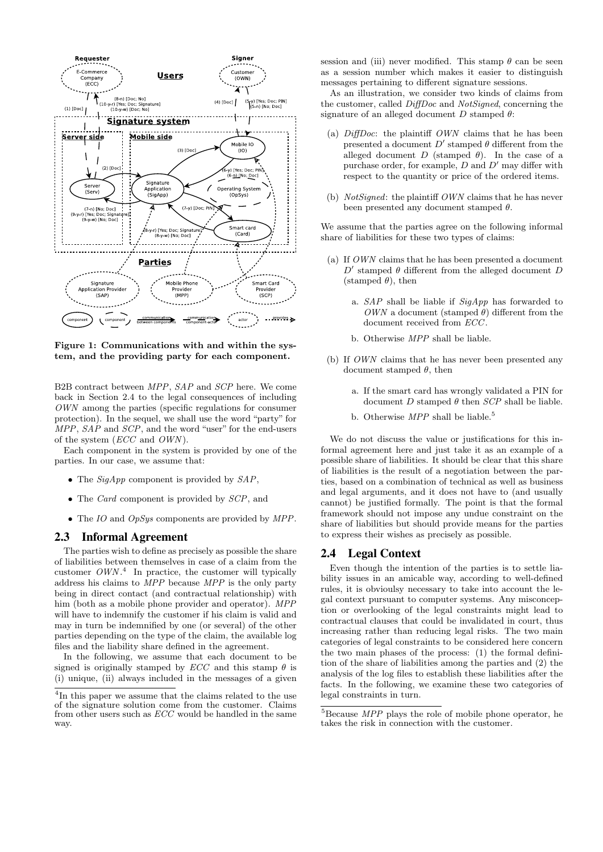

Figure 1: Communications with and within the system, and the providing party for each component.

B2B contract between MPP, SAP and SCP here. We come back in Section 2.4 to the legal consequences of including OWN among the parties (specific regulations for consumer protection). In the sequel, we shall use the word "party" for MPP, SAP and SCP, and the word "user" for the end-users of the system  $(ECC \text{ and } OWN)$ .

Each component in the system is provided by one of the parties. In our case, we assume that:

- The  $SigApp$  component is provided by  $SAP$ ,
- The *Card* component is provided by *SCP*, and
- The IO and OpSys components are provided by MPP.

#### 2.3 Informal Agreement

The parties wish to define as precisely as possible the share of liabilities between themselves in case of a claim from the customer  $OWN<sup>4</sup>$  In practice, the customer will typically address his claims to MPP because MPP is the only party being in direct contact (and contractual relationship) with him (both as a mobile phone provider and operator). MPP will have to indemnify the customer if his claim is valid and may in turn be indemnified by one (or several) of the other parties depending on the type of the claim, the available log files and the liability share defined in the agreement.

In the following, we assume that each document to be signed is originally stamped by  $ECC$  and this stamp  $\theta$  is (i) unique, (ii) always included in the messages of a given

session and (iii) never modified. This stamp  $\theta$  can be seen as a session number which makes it easier to distinguish messages pertaining to different signature sessions.

As an illustration, we consider two kinds of claims from the customer, called DiffDoc and NotSigned, concerning the signature of an alleged document  $D$  stamped  $\theta$ :

- (a)  $DiffDoc$ : the plaintiff  $OWN$  claims that he has been presented a document  $D'$  stamped  $\theta$  different from the alleged document D (stamped  $\theta$ ). In the case of a purchase order, for example,  $D$  and  $D'$  may differ with respect to the quantity or price of the ordered items.
- (b) *NotSigned*: the plaintiff  $OWN$  claims that he has never been presented any document stamped  $\theta$ .

We assume that the parties agree on the following informal share of liabilities for these two types of claims:

- (a) If OWN claims that he has been presented a document  $D'$  stamped  $\theta$  different from the alleged document  $D$ (stamped  $\theta$ ), then
	- a. SAP shall be liable if SigApp has forwarded to  $OWN$  a document (stamped  $\theta$ ) different from the document received from ECC.
	- b. Otherwise MPP shall be liable.
- (b) If OWN claims that he has never been presented any document stamped  $\theta$ , then
	- a. If the smart card has wrongly validated a PIN for document  $D$  stamped  $\theta$  then  $SCP$  shall be liable.
	- b. Otherwise  $MPP$  shall be liable.<sup>5</sup>

We do not discuss the value or justifications for this informal agreement here and just take it as an example of a possible share of liabilities. It should be clear that this share of liabilities is the result of a negotiation between the parties, based on a combination of technical as well as business and legal arguments, and it does not have to (and usually cannot) be justified formally. The point is that the formal framework should not impose any undue constraint on the share of liabilities but should provide means for the parties to express their wishes as precisely as possible.

#### 2.4 Legal Context

Even though the intention of the parties is to settle liability issues in an amicable way, according to well-defined rules, it is obvioulsy necessary to take into account the legal context pursuant to computer systems. Any misconception or overlooking of the legal constraints might lead to contractual clauses that could be invalidated in court, thus increasing rather than reducing legal risks. The two main categories of legal constraints to be considered here concern the two main phases of the process: (1) the formal definition of the share of liabilities among the parties and (2) the analysis of the log files to establish these liabilities after the facts. In the following, we examine these two categories of legal constraints in turn.

<sup>&</sup>lt;sup>4</sup>In this paper we assume that the claims related to the use of the signature solution come from the customer. Claims from other users such as ECC would be handled in the same way.

 $5B$ ecause  $MPP$  plays the role of mobile phone operator, he takes the risk in connection with the customer.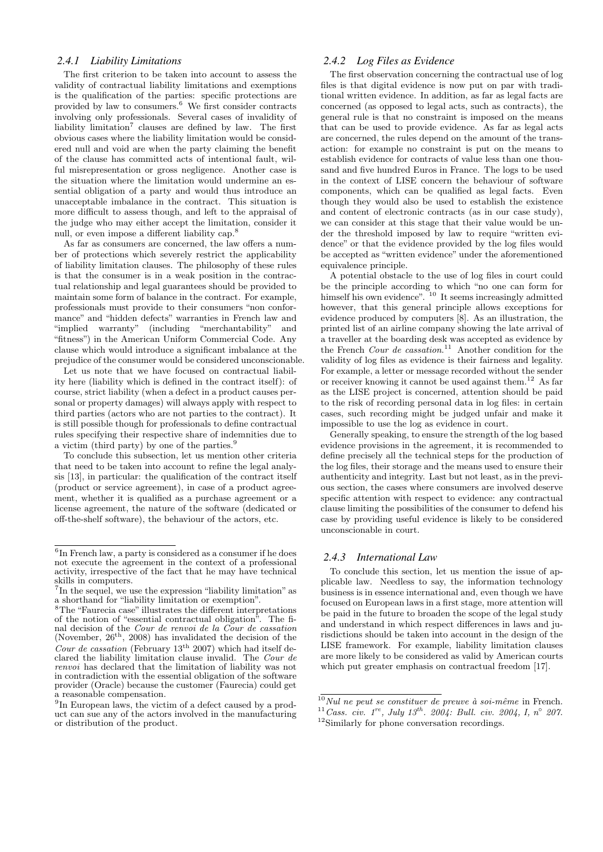#### *2.4.1 Liability Limitations*

The first criterion to be taken into account to assess the validity of contractual liability limitations and exemptions is the qualification of the parties: specific protections are provided by law to consumers.<sup>6</sup> We first consider contracts involving only professionals. Several cases of invalidity of liability limitation<sup>7</sup> clauses are defined by law. The first obvious cases where the liability limitation would be considered null and void are when the party claiming the benefit of the clause has committed acts of intentional fault, wilful misrepresentation or gross negligence. Another case is the situation where the limitation would undermine an essential obligation of a party and would thus introduce an unacceptable imbalance in the contract. This situation is more difficult to assess though, and left to the appraisal of the judge who may either accept the limitation, consider it null, or even impose a different liability cap. $\frac{8}{3}$ 

As far as consumers are concerned, the law offers a number of protections which severely restrict the applicability of liability limitation clauses. The philosophy of these rules is that the consumer is in a weak position in the contractual relationship and legal guarantees should be provided to maintain some form of balance in the contract. For example, professionals must provide to their consumers "non conformance" and "hidden defects" warranties in French law and "implied warranty" (including "merchantability" and "fitness") in the American Uniform Commercial Code. Any clause which would introduce a significant imbalance at the prejudice of the consumer would be considered unconscionable.

Let us note that we have focused on contractual liability here (liability which is defined in the contract itself): of course, strict liability (when a defect in a product causes personal or property damages) will always apply with respect to third parties (actors who are not parties to the contract). It is still possible though for professionals to define contractual rules specifying their respective share of indemnities due to a victim (third party) by one of the parties.<sup>9</sup>

To conclude this subsection, let us mention other criteria that need to be taken into account to refine the legal analysis [13], in particular: the qualification of the contract itself (product or service agreement), in case of a product agreement, whether it is qualified as a purchase agreement or a license agreement, the nature of the software (dedicated or off-the-shelf software), the behaviour of the actors, etc.

#### *2.4.2 Log Files as Evidence*

The first observation concerning the contractual use of log files is that digital evidence is now put on par with traditional written evidence. In addition, as far as legal facts are concerned (as opposed to legal acts, such as contracts), the general rule is that no constraint is imposed on the means that can be used to provide evidence. As far as legal acts are concerned, the rules depend on the amount of the transaction: for example no constraint is put on the means to establish evidence for contracts of value less than one thousand and five hundred Euros in France. The logs to be used in the context of LISE concern the behaviour of software components, which can be qualified as legal facts. Even though they would also be used to establish the existence and content of electronic contracts (as in our case study), we can consider at this stage that their value would be under the threshold imposed by law to require "written evidence" or that the evidence provided by the log files would be accepted as "written evidence" under the aforementioned equivalence principle.

A potential obstacle to the use of log files in court could be the principle according to which "no one can form for himself his own evidence". <sup>10</sup> It seems increasingly admitted however, that this general principle allows exceptions for evidence produced by computers [8]. As an illustration, the printed list of an airline company showing the late arrival of a traveller at the boarding desk was accepted as evidence by the French Cour de cassation.<sup>11</sup> Another condition for the validity of log files as evidence is their fairness and legality. For example, a letter or message recorded without the sender or receiver knowing it cannot be used against them.<sup>12</sup> As far as the LISE project is concerned, attention should be paid to the risk of recording personal data in log files: in certain cases, such recording might be judged unfair and make it impossible to use the log as evidence in court.

Generally speaking, to ensure the strength of the log based evidence provisions in the agreement, it is recommended to define precisely all the technical steps for the production of the log files, their storage and the means used to ensure their authenticity and integrity. Last but not least, as in the previous section, the cases where consumers are involved deserve specific attention with respect to evidence: any contractual clause limiting the possibilities of the consumer to defend his case by providing useful evidence is likely to be considered unconscionable in court.

#### *2.4.3 International Law*

To conclude this section, let us mention the issue of applicable law. Needless to say, the information technology business is in essence international and, even though we have focused on European laws in a first stage, more attention will be paid in the future to broaden the scope of the legal study and understand in which respect differences in laws and jurisdictions should be taken into account in the design of the LISE framework. For example, liability limitation clauses are more likely to be considered as valid by American courts which put greater emphasis on contractual freedom [17].

<sup>&</sup>lt;sup>6</sup>In French law, a party is considered as a consumer if he does not execute the agreement in the context of a professional activity, irrespective of the fact that he may have technical skills in computers.

<sup>&</sup>lt;sup>7</sup>In the sequel, we use the expression "liability limitation" as a shorthand for "liability limitation or exemption".

 ${}^{8}{\rm The}$  "Faurecia case" illustrates the different interpretations of the notion of "essential contractual obligation". The final decision of the Cour de renvoi de la Cour de cassation (November, 26th, 2008) has invalidated the decision of the Cour de cassation (February  $13<sup>th</sup> 2007$ ) which had itself declared the liability limitation clause invalid. The Cour de renvoi has declared that the limitation of liability was not in contradiction with the essential obligation of the software provider (Oracle) because the customer (Faurecia) could get a reasonable compensation.

<sup>&</sup>lt;sup>9</sup>In European laws, the victim of a defect caused by a product can sue any of the actors involved in the manufacturing or distribution of the product.

 $10$ Nul ne peut se constituer de preuve à soi-même in French. <sup>11</sup> Cass. civ.  $1^{re}$ , July  $13^{th}$ . 2004: Bull. civ. 2004, I, n° 207. <sup>12</sup>Similarly for phone conversation recordings.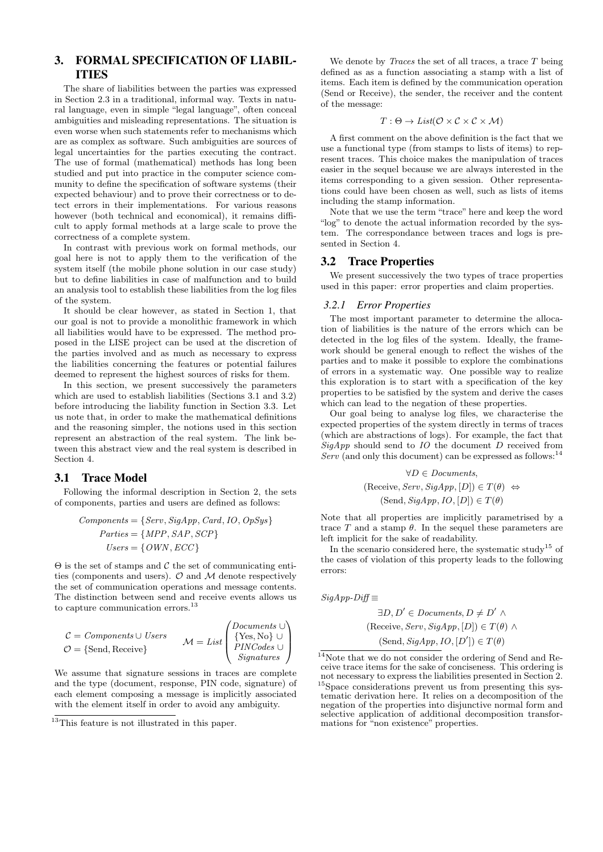## 3. FORMAL SPECIFICATION OF LIABIL-ITIES

The share of liabilities between the parties was expressed in Section 2.3 in a traditional, informal way. Texts in natural language, even in simple "legal language", often conceal ambiguities and misleading representations. The situation is even worse when such statements refer to mechanisms which are as complex as software. Such ambiguities are sources of legal uncertainties for the parties executing the contract. The use of formal (mathematical) methods has long been studied and put into practice in the computer science community to define the specification of software systems (their expected behaviour) and to prove their correctness or to detect errors in their implementations. For various reasons however (both technical and economical), it remains difficult to apply formal methods at a large scale to prove the correctness of a complete system.

In contrast with previous work on formal methods, our goal here is not to apply them to the verification of the system itself (the mobile phone solution in our case study) but to define liabilities in case of malfunction and to build an analysis tool to establish these liabilities from the log files of the system.

It should be clear however, as stated in Section 1, that our goal is not to provide a monolithic framework in which all liabilities would have to be expressed. The method proposed in the LISE project can be used at the discretion of the parties involved and as much as necessary to express the liabilities concerning the features or potential failures deemed to represent the highest sources of risks for them.

In this section, we present successively the parameters which are used to establish liabilities (Sections 3.1 and 3.2) before introducing the liability function in Section 3.3. Let us note that, in order to make the mathematical definitions and the reasoning simpler, the notions used in this section represent an abstraction of the real system. The link between this abstract view and the real system is described in Section 4.

### 3.1 Trace Model

Following the informal description in Section 2, the sets of components, parties and users are defined as follows:

Components = {Serv, SigApp, Card,IO, OpSys} Parties = {MPP, SAP, SCP} Users = {OWN ,ECC}

 $\Theta$  is the set of stamps and  $\mathcal C$  the set of communicating entities (components and users).  $\mathcal{O}$  and  $\mathcal{M}$  denote respectively the set of communication operations and message contents. The distinction between send and receive events allows us to capture communication errors.<sup>13</sup>

$$
C = Components \cup Users
$$
  

$$
O = \{Send, Receiver\}
$$
  

$$
M = List \begin{pmatrix} Documents \cup{\{Yes, No\} \cupPINCodes \cupSignatures\end{pmatrix}
$$

We assume that signature sessions in traces are complete and the type (document, response, PIN code, signature) of each element composing a message is implicitly associated with the element itself in order to avoid any ambiguity.

We denote by *Traces* the set of all traces, a trace  $T$  being defined as as a function associating a stamp with a list of items. Each item is defined by the communication operation (Send or Receive), the sender, the receiver and the content of the message:

$$
T: \Theta \to List(\mathcal{O} \times \mathcal{C} \times \mathcal{C} \times \mathcal{M})
$$

A first comment on the above definition is the fact that we use a functional type (from stamps to lists of items) to represent traces. This choice makes the manipulation of traces easier in the sequel because we are always interested in the items corresponding to a given session. Other representations could have been chosen as well, such as lists of items including the stamp information.

Note that we use the term "trace" here and keep the word "log" to denote the actual information recorded by the system. The correspondance between traces and logs is presented in Section 4.

#### 3.2 Trace Properties

We present successively the two types of trace properties used in this paper: error properties and claim properties.

#### *3.2.1 Error Properties*

The most important parameter to determine the allocation of liabilities is the nature of the errors which can be detected in the log files of the system. Ideally, the framework should be general enough to reflect the wishes of the parties and to make it possible to explore the combinations of errors in a systematic way. One possible way to realize this exploration is to start with a specification of the key properties to be satisfied by the system and derive the cases which can lead to the negation of these properties.

Our goal being to analyse log files, we characterise the expected properties of the system directly in terms of traces (which are abstractions of logs). For example, the fact that  $SigApp$  should send to  $IO$  the document  $D$  received from Serv (and only this document) can be expressed as follows:<sup>14</sup>

$$
\forall D \in \text{D}\text{c} \, \text{unents},
$$
\n
$$
(\text{Receive}, \text{Serv}, \text{SigApp}, [D]) \in T(\theta) \Leftrightarrow
$$
\n
$$
(\text{Send}, \text{SigApp}, \text{IO}, [D]) \in T(\theta)
$$

Note that all properties are implicitly parametrised by a trace T and a stamp  $\theta$ . In the sequel these parameters are left implicit for the sake of readability.

In the scenario considered here, the systematic  ${\rm studv}^{15}$  of the cases of violation of this property leads to the following errors:

$$
SigApp-Diff \equiv
$$

∃D, D<sup>0</sup> ∈ Documents, D 6= D <sup>0</sup> ∧ (Receive, Serv, SigApp, [D]) ∈ T(θ) ∧ (Send, SigApp,IO, [D 0 ]) ∈ T(θ)

 $^{14}\rm{Note}$  that we do not consider the ordering of Send and Receive trace items for the sake of conciseness. This ordering is not necessary to express the liabilities presented in Section 2. <sup>15</sup>Space considerations prevent us from presenting this systematic derivation here. It relies on a decomposition of the negation of the properties into disjunctive normal form and selective application of additional decomposition transformations for "non existence" properties.

<sup>&</sup>lt;sup>13</sup>This feature is not illustrated in this paper.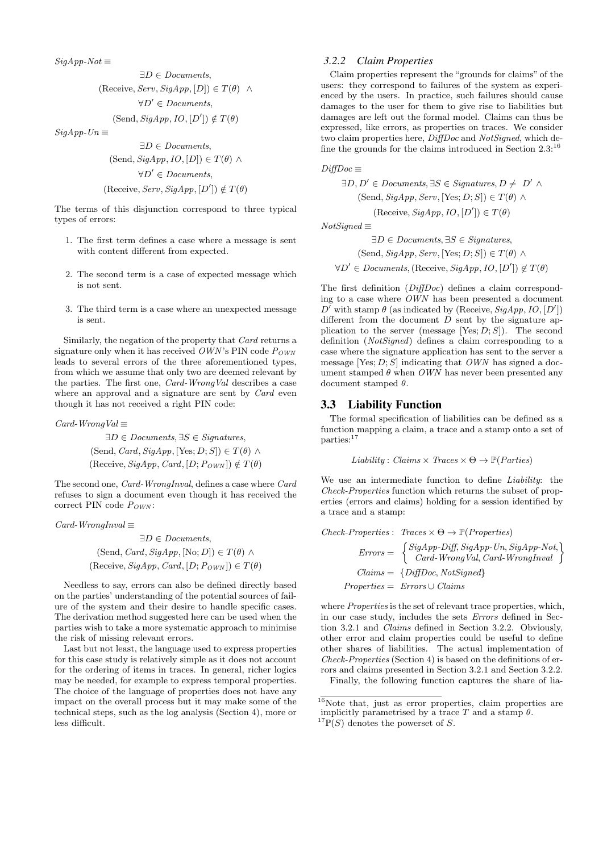$SigApp-Not \equiv$ 

$$
\exists D \in \text{D}\text{c} \, \text{C} \, \text{C} \, \text{C} \, \text{C} \, \text{C} \, \text{C} \, \text{C} \, \text{C} \, \text{C} \, \text{C} \, \text{C} \, \text{C} \, \text{C} \, \text{C} \, \text{C} \, \text{C} \, \text{C} \, \text{C} \, \text{C} \, \text{C} \, \text{C} \, \text{C} \, \text{C} \, \text{C} \, \text{C} \, \text{C} \, \text{C} \, \text{C} \, \text{C} \, \text{C} \, \text{C} \, \text{C} \, \text{C} \, \text{C} \, \text{C} \, \text{C} \, \text{C} \, \text{C} \, \text{C} \, \text{C} \, \text{C} \, \text{C} \, \text{C} \, \text{C} \, \text{C} \, \text{C} \, \text{C} \, \text{C} \, \text{C} \, \text{C} \, \text{C} \, \text{C} \, \text{C} \, \text{C} \, \text{C} \, \text{C} \, \text{C} \, \text{C} \, \text{C} \, \text{C} \, \text{C} \, \text{C} \, \text{C} \, \text{C} \, \text{C} \, \text{C} \, \text{C} \, \text{C} \, \text{C} \, \text{C} \, \text{C} \, \text{C} \, \text{C} \, \text{C} \, \text{C} \, \text{C} \, \text{C} \, \text{C} \, \text{C} \, \text{C} \, \text{C} \, \text{C} \, \text{C} \, \text{C} \, \text{C} \, \text{C} \, \text{C} \, \text{C} \, \text{C} \, \text{C} \, \text{C} \, \text{C} \, \text{C} \, \text{C} \, \text{C} \, \text{C} \, \text{C} \, \text{C} \, \text{C} \, \text{C} \, \text{C} \, \text{C} \, \text{C} \, \text{C} \, \text{C} \, \text{C} \, \text
$$

 $SigApp$ - $Un \equiv$ 

 $\exists D \in \mathit{Documents},$  $(Send, SigApp, IO, [D]) \in T(\theta) \wedge$  $\forall D' \in \mathit{D}\mathit{c}\mathit{unents},$  $(Receive, Serv, SigApp, [D']) \notin T(\theta)$ 

The terms of this disjunction correspond to three typical types of errors:

- 1. The first term defines a case where a message is sent with content different from expected.
- 2. The second term is a case of expected message which is not sent.
- 3. The third term is a case where an unexpected message is sent.

Similarly, the negation of the property that Card returns a signature only when it has received  $OWN$ 's PIN code  $P_{OWN}$ leads to several errors of the three aforementioned types, from which we assume that only two are deemed relevant by the parties. The first one, Card-WrongVal describes a case where an approval and a signature are sent by Card even though it has not received a right PIN code:

 $Card$ -WrongVal  $\equiv$  $\exists D \in \textit{D}\text{c} \leq \exists S \in \textit{Signatures},$  $(Send, Card, SigApp, [Yes; D; S]) \in T(\theta) \wedge$ (Receive,  $SigApp, Card, [D; P_{OWN}]$ )  $\notin T(\theta)$ 

The second one, Card-WrongInval, defines a case where Card refuses to sign a document even though it has received the correct PIN code  $P_{OWN}$ :

 $Card$ -WrongInval  $\equiv$ 

 $\exists D \in \mathit{Documents},$ (Send, Card, SigApp, [No; D])  $\in T(\theta) \wedge$ (Receive,  $SigApp, Card, [D;P_{OWN}]$ )  $\in T(\theta)$ 

Needless to say, errors can also be defined directly based on the parties' understanding of the potential sources of failure of the system and their desire to handle specific cases. The derivation method suggested here can be used when the parties wish to take a more systematic approach to minimise the risk of missing relevant errors.

Last but not least, the language used to express properties for this case study is relatively simple as it does not account for the ordering of items in traces. In general, richer logics may be needed, for example to express temporal properties. The choice of the language of properties does not have any impact on the overall process but it may make some of the technical steps, such as the log analysis (Section 4), more or less difficult.

#### *3.2.2 Claim Properties*

Claim properties represent the "grounds for claims" of the users: they correspond to failures of the system as experienced by the users. In practice, such failures should cause damages to the user for them to give rise to liabilities but damages are left out the formal model. Claims can thus be expressed, like errors, as properties on traces. We consider two claim properties here, DiffDoc and NotSigned, which define the grounds for the claims introduced in Section 2.3:<sup>16</sup>

$$
DiffDoc \equiv
$$

$$
\exists D, D' \in \text{D}\text{c} \, \exists S \in \text{S} \, \text{c} \, \text{d} \, \text{d} \, \text{d} \, \text{d} \, \text{d} \, \text{d} \, \text{d} \, \text{d} \, \text{d} \, \text{d} \, \text{d} \, \text{d} \, \text{d} \, \text{d} \, \text{d} \, \text{d} \, \text{d} \, \text{d} \, \text{d} \, \text{d} \, \text{d} \, \text{d} \, \text{d} \, \text{d} \, \text{d} \, \text{d} \, \text{d} \, \text{d} \, \text{d} \, \text{d} \, \text{d} \, \text{d} \, \text{d} \, \text{d} \, \text{d} \, \text{d} \, \text{d} \, \text{d} \, \text{d} \, \text{d} \, \text{d} \, \text{d} \, \text{d} \, \text{d} \, \text{d} \, \text{d} \, \text{d} \, \text{d} \, \text{d} \, \text{d} \, \text{d} \, \text{d} \, \text{d} \, \text{d} \, \text{d} \, \text{d} \, \text{d} \, \text{d} \, \text{d} \, \text{d} \, \text{d} \, \text{d} \, \text{d} \, \text{d} \, \text{d} \, \text{d} \, \text{d} \, \text{d} \, \text{d} \, \text{d} \, \text{d} \, \text{d} \, \text{d} \, \text{d} \, \text{d} \, \text{d} \, \text{d} \, \text{d} \, \text{d} \, \text{d} \, \text{d} \, \text{d} \, \text{d} \, \text{d} \, \text{d} \, \text{d} \, \text{d} \, \text{d} \, \text{d} \, \text{d} \, \text{d} \, \text{d} \, \text{d} \, \text{d} \, \text{d} \, \text{d} \, \text{d} \, \text{d} \, \text{d} \, \text{d} \, \text{d} \, \text{d} \, \text{d} \, \
$$

 $Not.$ 

 $\exists D \in \text{D}cuments, \exists S \in \text{Signatures},$  $(Send, SigApp, Serv, [Yes; D; S]) \in T(\theta) \wedge$  $\forall D' \in \mathit{Documents}, (\mathit{Receive}, \mathit{SigApp}, \mathit{IO}, [D']) \notin \mathit{T}(\theta)$ 

The first definition (DiffDoc) defines a claim corresponding to a case where OWN has been presented a document  $\overline{D}^{\prime}$  with stamp  $\theta$  (as indicated by (Receive,  $SigApp, IO, [D^{\prime}])$ different from the document  $D$  sent by the signature application to the server (message [Yes;  $D; S$ ]). The second definition (NotSigned) defines a claim corresponding to a case where the signature application has sent to the server a message [Yes;  $D; S$ ] indicating that *OWN* has signed a document stamped  $\theta$  when OWN has never been presented any document stamped  $\theta$ .

#### 3.3 Liability Function

The formal specification of liabilities can be defined as a function mapping a claim, a trace and a stamp onto a set of parties:<sup>17</sup>

 $Liability: Clains \times Traces \times \Theta \rightarrow \mathbb{P}(Parties)$ 

We use an intermediate function to define Liability: the Check-Properties function which returns the subset of properties (errors and claims) holding for a session identified by a trace and a stamp:

 $Check\text{-}Properties: Traces \times \Theta \rightarrow \mathbb{P}(Properties)$ 

$$
Errors = \begin{cases} SigApp-Diff, SigApp-Un, SigApp-Not, \\ Card-WrongVal, Card-WrongInval \end{cases}
$$

$$
Clains = \{DiffDoc, Not{\text{Signal}}\}
$$

$$
Properties = Errors \cup Clains
$$

where Properties is the set of relevant trace properties, which, in our case study, includes the sets Errors defined in Section 3.2.1 and Claims defined in Section 3.2.2. Obviously, other error and claim properties could be useful to define other shares of liabilities. The actual implementation of Check-Properties (Section 4) is based on the definitions of errors and claims presented in Section 3.2.1 and Section 3.2.2.

Finally, the following function captures the share of lia-

<sup>16</sup>Note that, just as error properties, claim properties are implicitly parametrised by a trace T and a stamp  $\theta$ .

 ${}^{17}P(S)$  denotes the powerset of S.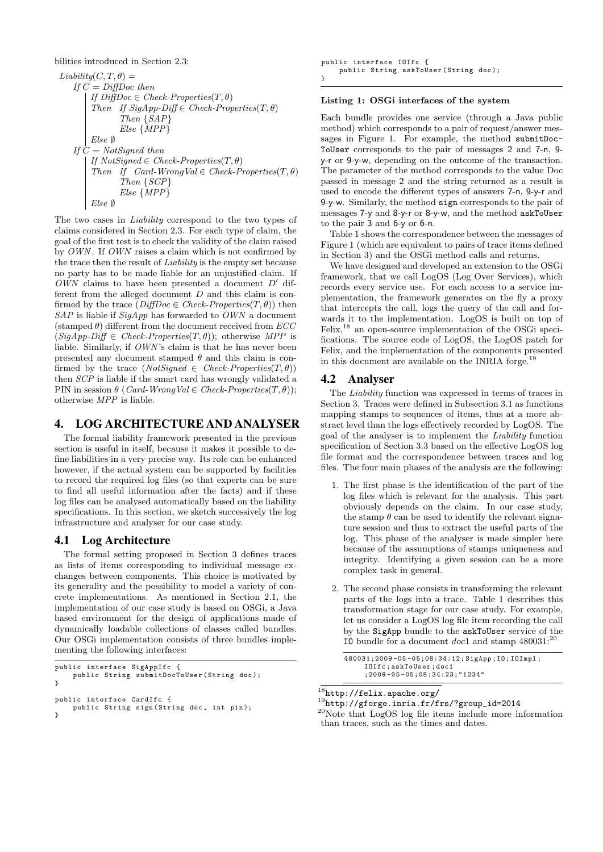bilities introduced in Section 2.3:

```
Liability(C, T, \theta) =If C = DiffDoc then
        If DiffDoc \in Check-Properties(T, \theta)Then If SiaApp-Diff \in Check-Properties(T, \theta)Then {SAP}
               Else~\{MPP\}Else ∅
   If C = NotSignal then
        If NotSignal \in Check-Properties(T, \theta)Then If Card-WrongVal \in Check-Properties(T, \theta)Then {SCP}
               Else {MPP}
        Else ∅
```
The two cases in Liability correspond to the two types of claims considered in Section 2.3. For each type of claim, the goal of the first test is to check the validity of the claim raised by OWN . If OWN raises a claim which is not confirmed by the trace then the result of Liability is the empty set because no party has to be made liable for an unjustified claim. If  $OWN$  claims to have been presented a document  $D'$  different from the alleged document D and this claim is confirmed by the trace  $(DiffDoc \in Check-Properties(T, \theta))$  then SAP is liable if SigApp has forwarded to OWN a document (stamped  $\theta$ ) different from the document received from  $ECC$  $(SigApp-Diff \in Check-Properties(T, \theta))$ ; otherwise MPP is liable. Similarly, if OWN 's claim is that he has never been presented any document stamped  $\theta$  and this claim is confirmed by the trace  $(Notsigned \in Check-Properties(T, \theta))$ then SCP is liable if the smart card has wrongly validated a PIN in session  $\theta$  (Card-WrongVal  $\in$  Check-Properties(T,  $\theta$ )); otherwise MPP is liable.

### 4. LOG ARCHITECTURE AND ANALYSER

The formal liability framework presented in the previous section is useful in itself, because it makes it possible to define liabilities in a very precise way. Its role can be enhanced however, if the actual system can be supported by facilities to record the required log files (so that experts can be sure to find all useful information after the facts) and if these log files can be analysed automatically based on the liability specifications. In this section, we sketch successively the log infrastructure and analyser for our case study.

### 4.1 Log Architecture

The formal setting proposed in Section 3 defines traces as lists of items corresponding to individual message exchanges between components. This choice is motivated by its generality and the possibility to model a variety of concrete implementations. As mentioned in Section 2.1, the implementation of our case study is based on OSGi, a Java based environment for the design of applications made of dynamically loadable collections of classes called bundles. Our OSGi implementation consists of three bundles implementing the following interfaces:

```
public interface SigAppIfc {
    public String submitDocToUser ( String doc );
}
public interface CardIfc {
    public String sign (String doc, int pin);
}
```
public interface IOIfc { public String askToUser (String doc); }

#### Listing 1: OSGi interfaces of the system

Each bundle provides one service (through a Java public method) which corresponds to a pair of request/answer messages in Figure 1. For example, the method submitDoc-ToUser corresponds to the pair of messages 2 and 7-n, 9 y-r or 9-y-w, depending on the outcome of the transaction. The parameter of the method corresponds to the value Doc passed in message 2 and the string returned as a result is used to encode the different types of answers 7-n, 9-y-r and 9-y-w. Similarly, the method sign corresponds to the pair of messages 7-y and 8-y-r or 8-y-w, and the method askToUser to the pair 3 and 6-y or 6-n.

Table 1 shows the correspondence between the messages of Figure 1 (which are equivalent to pairs of trace items defined in Section 3) and the OSGi method calls and returns.

We have designed and developed an extension to the OSGi framework, that we call LogOS (Log Over Services), which records every service use. For each access to a service implementation, the framework generates on the fly a proxy that intercepts the call, logs the query of the call and forwards it to the implementation. LogOS is built on top of Felix,<sup>18</sup> an open-source implementation of the OSGi specifications. The source code of LogOS, the LogOS patch for Felix, and the implementation of the components presented in this document are available on the INRIA forge.<sup>19</sup>

## 4.2 Analyser

The Liability function was expressed in terms of traces in Section 3. Traces were defined in Subsection 3.1 as functions mapping stamps to sequences of items, thus at a more abstract level than the logs effectively recorded by LogOS. The goal of the analyser is to implement the Liability function specification of Section 3.3 based on the effective LogOS log file format and the correspondence between traces and log files. The four main phases of the analysis are the following:

- 1. The first phase is the identification of the part of the log files which is relevant for the analysis. This part obviously depends on the claim. In our case study, the stamp  $\theta$  can be used to identify the relevant signature session and thus to extract the useful parts of the log. This phase of the analyser is made simpler here because of the assumptions of stamps uniqueness and integrity. Identifying a given session can be a more complex task in general.
- 2. The second phase consists in transforming the relevant parts of the logs into a trace. Table 1 describes this transformation stage for our case study. For example, let us consider a LogOS log file item recording the call by the SigApp bundle to the askToUser service of the  ${\tt I0}$  bundle for a document  $doc1$  and stamp  $480031.^{20}$

480031;2009 -05 -05;08:34:12; SigApp ; IO ; IOImpl ; IOIfc ; askToUser ; doc1 ;2009 -05 -05;08:34:23;"1234"

```
^{18}\mathrm{http://felix.append.e.org/}
```
<sup>19</sup>http://gforge.inria.fr/frs/?group\_id=2014

<sup>20</sup>Note that LogOS log file items include more information than traces, such as the times and dates.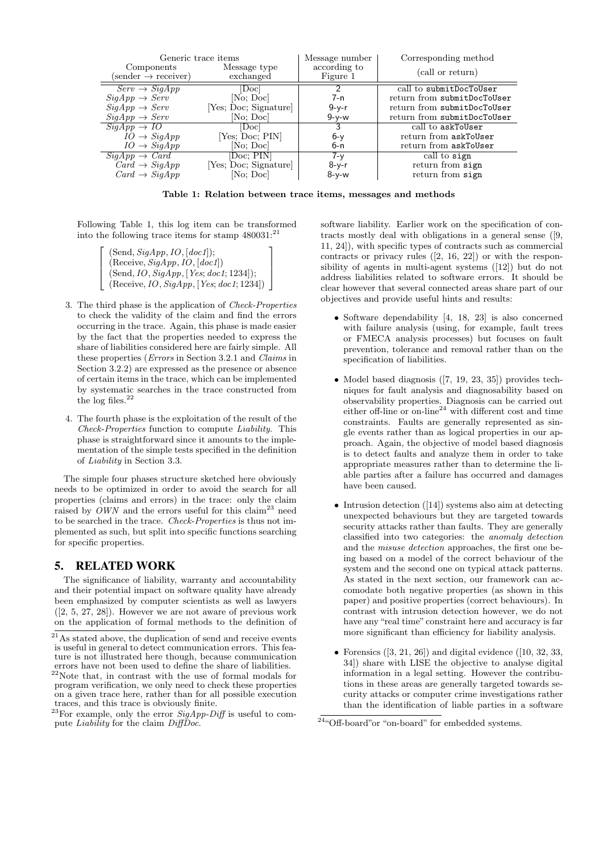| Generic trace items                           |                       | Message number | Corresponding method        |
|-----------------------------------------------|-----------------------|----------------|-----------------------------|
| Components                                    | Message type          | according to   | (call or return)            |
| $(\text{sender} \rightarrow \text{receiver})$ | exchanged             | Figure 1       |                             |
| $Serv \rightarrow SigApp$                     | Doc                   |                | call to submitDocToUser     |
| $SigApp \rightarrow Serv$                     | [No; Doc]             | 7-n            | return from submitDocToUser |
| $SigApp \rightarrow Serv$                     | [Yes; Doc; Signature] | $9 - v - r$    | return from submitDocToUser |
| $SigApp \rightarrow Serv$                     | [No; Doc]             | $9 - v - w$    | return from submitDocToUser |
| $SiqApp \rightarrow IO$                       | Doc                   | 3              | call to askToUser           |
| $IO \rightarrow SigApp$                       | [Yes; Doc; PIN]       | $6-y$          | return from askToUser       |
| $IO \rightarrow SigApp$                       | [No: Doc]             | $6 - n$        | return from askToUser       |
| $SigApp \rightarrow Card$                     | Doc; PIN              | $7 - v$        | call to sign                |
| $Card \rightarrow SigApp$                     | [Yes; Doc; Signature] | $8 - y - r$    | return from sign            |
| $Card \rightarrow SigApp$                     | [No: Doc]             | $8 - v - w$    | return from sign            |

Table 1: Relation between trace items, messages and methods

1  $\overline{1}$  $\mathbf{I}$  $\mathbf{I}$ 

Following Table 1, this log item can be transformed into the following trace items for stamp  $480031$ :<sup>21</sup>

- $(Send, SigApp, IO, [doc1]);$  $(Receive, *SigApp*, IO, [doc1])$  $(Send, IO, SigApp, [Yes, doc1; 1234]);$  $(Receive, IO, SigApp, [Yes, doc1; 1234])$
- 3. The third phase is the application of Check-Properties to check the validity of the claim and find the errors occurring in the trace. Again, this phase is made easier by the fact that the properties needed to express the share of liabilities considered here are fairly simple. All these properties (Errors in Section 3.2.1 and Claims in Section 3.2.2) are expressed as the presence or absence of certain items in the trace, which can be implemented by systematic searches in the trace constructed from the log files. $^{22}$
- 4. The fourth phase is the exploitation of the result of the Check-Properties function to compute Liability. This phase is straightforward since it amounts to the implementation of the simple tests specified in the definition of Liability in Section 3.3.

The simple four phases structure sketched here obviously needs to be optimized in order to avoid the search for all properties (claims and errors) in the trace: only the claim raised by  $OWN$  and the errors useful for this claim<sup>23</sup> need to be searched in the trace. Check-Properties is thus not implemented as such, but split into specific functions searching for specific properties.

## 5. RELATED WORK

 $\lceil$  $\overline{1}$  $\overline{1}$  $\overline{1}$ 

The significance of liability, warranty and accountability and their potential impact on software quality have already been emphasized by computer scientists as well as lawyers  $([2, 5, 27, 28])$ . However we are not aware of previous work on the application of formal methods to the definition of

software liability. Earlier work on the specification of contracts mostly deal with obligations in a general sense ([9, 11, 24]), with specific types of contracts such as commercial contracts or privacy rules ([2, 16, 22]) or with the responsibility of agents in multi-agent systems ([12]) but do not address liabilities related to software errors. It should be clear however that several connected areas share part of our objectives and provide useful hints and results:

- Software dependability [4, 18, 23] is also concerned with failure analysis (using, for example, fault trees or FMECA analysis processes) but focuses on fault prevention, tolerance and removal rather than on the specification of liabilities.
- Model based diagnosis ([7, 19, 23, 35]) provides techniques for fault analysis and diagnosability based on observability properties. Diagnosis can be carried out either off-line or on-line<sup>24</sup> with different cost and time constraints. Faults are generally represented as single events rather than as logical properties in our approach. Again, the objective of model based diagnosis is to detect faults and analyze them in order to take appropriate measures rather than to determine the liable parties after a failure has occurred and damages have been caused.
- Intrusion detection  $(14)$  systems also aim at detecting unexpected behaviours but they are targeted towards security attacks rather than faults. They are generally classified into two categories: the anomaly detection and the misuse detection approaches, the first one being based on a model of the correct behaviour of the system and the second one on typical attack patterns. As stated in the next section, our framework can accomodate both negative properties (as shown in this paper) and positive properties (correct behaviours). In contrast with intrusion detection however, we do not have any "real time" constraint here and accuracy is far more significant than efficiency for liability analysis.
- Forensics  $([3, 21, 26])$  and digital evidence  $([10, 32, 33,$ 34]) share with LISE the objective to analyse digital information in a legal setting. However the contributions in these areas are generally targeted towards security attacks or computer crime investigations rather than the identification of liable parties in a software

 $\sqrt[21]{21}$ As stated above, the duplication of send and receive events is useful in general to detect communication errors. This feature is not illustrated here though, because communication errors have not been used to define the share of liabilities.

<sup>&</sup>lt;sup>22</sup>Note that, in contrast with the use of formal modals for program verification, we only need to check these properties on a given trace here, rather than for all possible execution traces, and this trace is obviously finite.

<sup>&</sup>lt;sup>23</sup>For example, only the error  $SigApp-Diff$  is useful to compute Liability for the claim DiffDoc.

 $^{24}$  Off-board"<br>or "on-board" for embedded systems.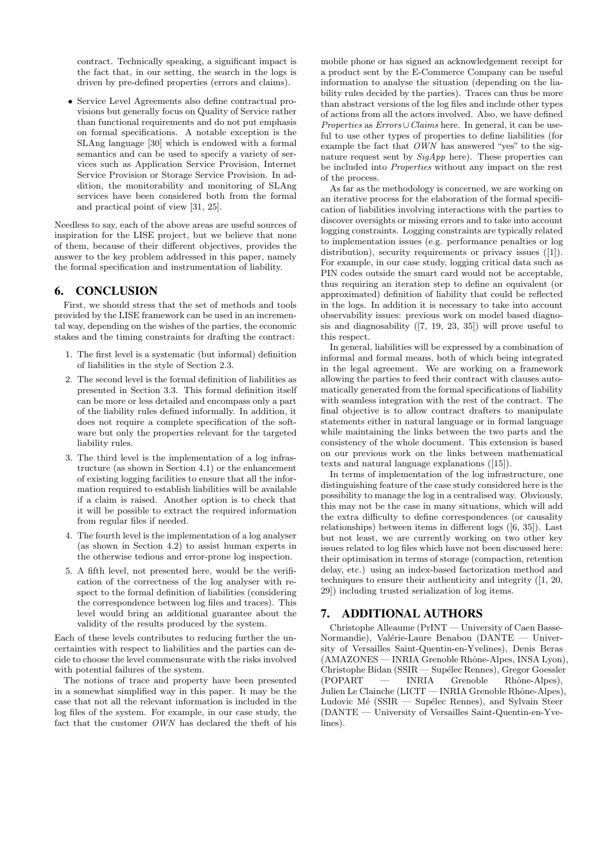contract. Technically speaking, a significant impact is the fact that, in our setting, the search in the logs is driven by pre-defined properties (errors and claims).

• Service Level Agreements also define contractual provisions but generally focus on Quality of Service rather than functional requirements and do not put emphasis on formal specifications. A notable exception is the SLAng language [30] which is endowed with a formal semantics and can be used to specify a variety of services such as Application Service Provision, Internet Service Provision or Storage Service Provision. In addition, the monitorability and monitoring of SLAng services have been considered both from the formal and practical point of view [31, 25].

Needless to say, each of the above areas are useful sources of inspiration for the LISE project, but we believe that none of them, because of their different objectives, provides the answer to the key problem addressed in this paper, namely the formal specification and instrumentation of liability.

## 6. CONCLUSION

First, we should stress that the set of methods and tools provided by the LISE framework can be used in an incremental way, depending on the wishes of the parties, the economic stakes and the timing constraints for drafting the contract:

- 1. The first level is a systematic (but informal) definition of liabilities in the style of Section 2.3.
- 2. The second level is the formal definition of liabilities as presented in Section 3.3. This formal definition itself can be more or less detailed and encompass only a part of the liability rules defined informally. In addition, it does not require a complete specification of the software but only the properties relevant for the targeted liability rules.
- 3. The third level is the implementation of a log infrastructure (as shown in Section 4.1) or the enhancement of existing logging facilities to ensure that all the information required to establish liabilities will be available if a claim is raised. Another option is to check that it will be possible to extract the required information from regular files if needed.
- 4. The fourth level is the implementation of a log analyser (as shown in Section 4.2) to assist human experts in the otherwise tedious and error-prone log inspection.
- 5. A fifth level, not presented here, would be the verification of the correctness of the log analyser with respect to the formal definition of liabilities (considering the correspondence between log files and traces). This level would bring an additional guarantee about the validity of the results produced by the system.

Each of these levels contributes to reducing further the uncertainties with respect to liabilities and the parties can decide to choose the level commensurate with the risks involved with potential failures of the system.

The notions of trace and property have been presented in a somewhat simplified way in this paper. It may be the case that not all the relevant information is included in the log files of the system. For example, in our case study, the fact that the customer OWN has declared the theft of his

mobile phone or has signed an acknowledgement receipt for a product sent by the E-Commerce Company can be useful information to analyse the situation (depending on the liability rules decided by the parties). Traces can thus be more than abstract versions of the log files and include other types of actions from all the actors involved. Also, we have defined *Properties* as  $Errors \cup Clains$  here. In general, it can be useful to use other types of properties to define liabilities (for example the fact that OWN has answered "yes" to the signature request sent by SigApp here). These properties can be included into Properties without any impact on the rest of the process.

As far as the methodology is concerned, we are working on an iterative process for the elaboration of the formal specification of liabilities involving interactions with the parties to discover oversights or missing errors and to take into account logging constraints. Logging constraints are typically related to implementation issues (e.g. performance penalties or log distribution), security requirements or privacy issues  $([1])$ . For example, in our case study, logging critical data such as PIN codes outside the smart card would not be acceptable, thus requiring an iteration step to define an equivalent (or approximated) definition of liability that could be reflected in the logs. In addition it is necessary to take into account observability issues: previous work on model based diagnosis and diagnosability ([7, 19, 23, 35]) will prove useful to this respect.

In general, liabilities will be expressed by a combination of informal and formal means, both of which being integrated in the legal agreement. We are working on a framework allowing the parties to feed their contract with clauses automatically generated from the formal specifications of liability with seamless integration with the rest of the contract. The final objective is to allow contract drafters to manipulate statements either in natural language or in formal language while maintaining the links between the two parts and the consistency of the whole document. This extension is based on our previous work on the links between mathematical texts and natural language explanations ([15]).

In terms of implementation of the log infrastructure, one distinguishing feature of the case study considered here is the possibility to manage the log in a centralised way. Obviously, this may not be the case in many situations, which will add the extra difficulty to define correspondences (or causality relationships) between items in different logs ([6, 35]). Last but not least, we are currently working on two other key issues related to log files which have not been discussed here: their optimisation in terms of storage (compaction, retention delay, etc.) using an index-based factorization method and techniques to ensure their authenticity and integrity ([1, 20, 29]) including trusted serialization of log items.

## 7. ADDITIONAL AUTHORS

Christophe Alleaume (PrINT — University of Caen Basse-Normandie), Valérie-Laure Benabou (DANTE — University of Versailles Saint-Quentin-en-Yvelines), Denis Beras (AMAZONES — INRIA Grenoble Rhône-Alpes, INSA Lyon), Christophe Bidan (SSIR — Supélec Rennes), Gregor Goessler (POPART — INRIA Grenoble Rhône-Alpes), Julien Le Clainche (LICIT — INRIA Grenoble Rhône-Alpes). Ludovic Mé ( $SSIR$  — Supélec Rennes), and Sylvain Steer (DANTE — University of Versailles Saint-Quentin-en-Yvelines).